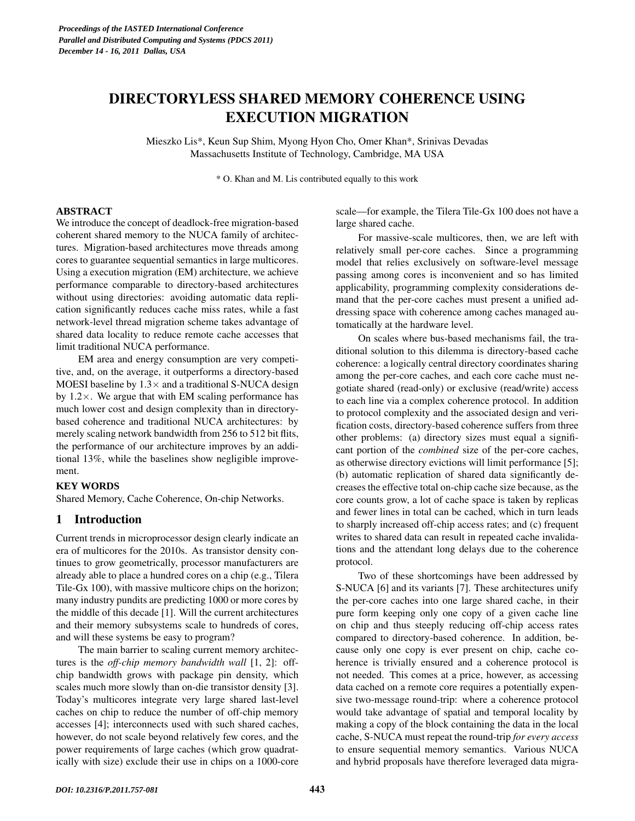# DIRECTORYLESS SHARED MEMORY COHERENCE USING EXECUTION MIGRATION

Mieszko Lis\*, Keun Sup Shim, Myong Hyon Cho, Omer Khan\*, Srinivas Devadas Massachusetts Institute of Technology, Cambridge, MA USA

\* O. Khan and M. Lis contributed equally to this work

# **ABSTRACT**

We introduce the concept of deadlock-free migration-based coherent shared memory to the NUCA family of architectures. Migration-based architectures move threads among cores to guarantee sequential semantics in large multicores. Using a execution migration (EM) architecture, we achieve performance comparable to directory-based architectures without using directories: avoiding automatic data replication significantly reduces cache miss rates, while a fast network-level thread migration scheme takes advantage of shared data locality to reduce remote cache accesses that limit traditional NUCA performance.

EM area and energy consumption are very competitive, and, on the average, it outperforms a directory-based MOESI baseline by  $1.3 \times$  and a traditional S-NUCA design by  $1.2 \times$ . We argue that with EM scaling performance has much lower cost and design complexity than in directorybased coherence and traditional NUCA architectures: by merely scaling network bandwidth from 256 to 512 bit flits, the performance of our architecture improves by an additional 13%, while the baselines show negligible improvement.

#### **KEY WORDS**

Shared Memory, Cache Coherence, On-chip Networks.

# 1 Introduction

Current trends in microprocessor design clearly indicate an era of multicores for the 2010s. As transistor density continues to grow geometrically, processor manufacturers are already able to place a hundred cores on a chip (e.g., Tilera Tile-Gx 100), with massive multicore chips on the horizon; many industry pundits are predicting 1000 or more cores by the middle of this decade [1]. Will the current architectures and their memory subsystems scale to hundreds of cores, and will these systems be easy to program?

The main barrier to scaling current memory architectures is the *off-chip memory bandwidth wall* [1, 2]: offchip bandwidth grows with package pin density, which scales much more slowly than on-die transistor density [3]. Today's multicores integrate very large shared last-level caches on chip to reduce the number of off-chip memory accesses [4]; interconnects used with such shared caches, however, do not scale beyond relatively few cores, and the power requirements of large caches (which grow quadratically with size) exclude their use in chips on a 1000-core

scale—for example, the Tilera Tile-Gx 100 does not have a large shared cache.

For massive-scale multicores, then, we are left with relatively small per-core caches. Since a programming model that relies exclusively on software-level message passing among cores is inconvenient and so has limited applicability, programming complexity considerations demand that the per-core caches must present a unified addressing space with coherence among caches managed automatically at the hardware level.

On scales where bus-based mechanisms fail, the traditional solution to this dilemma is directory-based cache coherence: a logically central directory coordinates sharing among the per-core caches, and each core cache must negotiate shared (read-only) or exclusive (read/write) access to each line via a complex coherence protocol. In addition to protocol complexity and the associated design and verification costs, directory-based coherence suffers from three other problems: (a) directory sizes must equal a significant portion of the *combined* size of the per-core caches, as otherwise directory evictions will limit performance [5]; (b) automatic replication of shared data significantly decreases the effective total on-chip cache size because, as the core counts grow, a lot of cache space is taken by replicas and fewer lines in total can be cached, which in turn leads to sharply increased off-chip access rates; and (c) frequent writes to shared data can result in repeated cache invalidations and the attendant long delays due to the coherence protocol.

Two of these shortcomings have been addressed by S-NUCA [6] and its variants [7]. These architectures unify the per-core caches into one large shared cache, in their pure form keeping only one copy of a given cache line on chip and thus steeply reducing off-chip access rates compared to directory-based coherence. In addition, because only one copy is ever present on chip, cache coherence is trivially ensured and a coherence protocol is not needed. This comes at a price, however, as accessing data cached on a remote core requires a potentially expensive two-message round-trip: where a coherence protocol would take advantage of spatial and temporal locality by making a copy of the block containing the data in the local cache, S-NUCA must repeat the round-trip *for every access* to ensure sequential memory semantics. Various NUCA and hybrid proposals have therefore leveraged data migra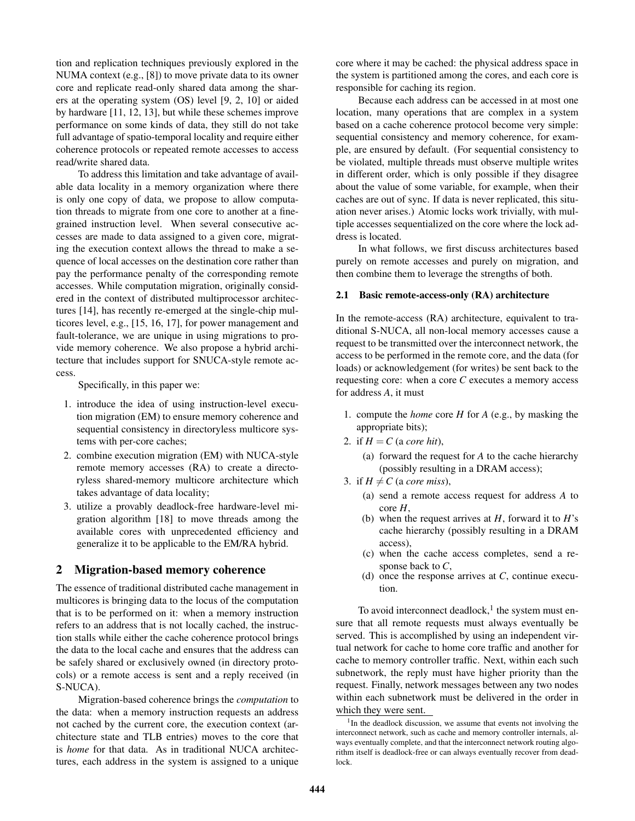tion and replication techniques previously explored in the NUMA context (e.g., [8]) to move private data to its owner core and replicate read-only shared data among the sharers at the operating system (OS) level [9, 2, 10] or aided by hardware [11, 12, 13], but while these schemes improve performance on some kinds of data, they still do not take full advantage of spatio-temporal locality and require either coherence protocols or repeated remote accesses to access read/write shared data.

To address this limitation and take advantage of available data locality in a memory organization where there is only one copy of data, we propose to allow computation threads to migrate from one core to another at a finegrained instruction level. When several consecutive accesses are made to data assigned to a given core, migrating the execution context allows the thread to make a sequence of local accesses on the destination core rather than pay the performance penalty of the corresponding remote accesses. While computation migration, originally considered in the context of distributed multiprocessor architectures [14], has recently re-emerged at the single-chip multicores level, e.g., [15, 16, 17], for power management and fault-tolerance, we are unique in using migrations to provide memory coherence. We also propose a hybrid architecture that includes support for SNUCA-style remote access.

Specifically, in this paper we:

- 1. introduce the idea of using instruction-level execution migration (EM) to ensure memory coherence and sequential consistency in directoryless multicore systems with per-core caches;
- 2. combine execution migration (EM) with NUCA-style remote memory accesses (RA) to create a directoryless shared-memory multicore architecture which takes advantage of data locality;
- 3. utilize a provably deadlock-free hardware-level migration algorithm [18] to move threads among the available cores with unprecedented efficiency and generalize it to be applicable to the EM/RA hybrid.

# 2 Migration-based memory coherence

The essence of traditional distributed cache management in multicores is bringing data to the locus of the computation that is to be performed on it: when a memory instruction refers to an address that is not locally cached, the instruction stalls while either the cache coherence protocol brings the data to the local cache and ensures that the address can be safely shared or exclusively owned (in directory protocols) or a remote access is sent and a reply received (in S-NUCA).

Migration-based coherence brings the *computation* to the data: when a memory instruction requests an address not cached by the current core, the execution context (architecture state and TLB entries) moves to the core that is *home* for that data. As in traditional NUCA architectures, each address in the system is assigned to a unique

core where it may be cached: the physical address space in the system is partitioned among the cores, and each core is responsible for caching its region.

Because each address can be accessed in at most one location, many operations that are complex in a system based on a cache coherence protocol become very simple: sequential consistency and memory coherence, for example, are ensured by default. (For sequential consistency to be violated, multiple threads must observe multiple writes in different order, which is only possible if they disagree about the value of some variable, for example, when their caches are out of sync. If data is never replicated, this situation never arises.) Atomic locks work trivially, with multiple accesses sequentialized on the core where the lock address is located.

In what follows, we first discuss architectures based purely on remote accesses and purely on migration, and then combine them to leverage the strengths of both.

## 2.1 Basic remote-access-only (RA) architecture

In the remote-access (RA) architecture, equivalent to traditional S-NUCA, all non-local memory accesses cause a request to be transmitted over the interconnect network, the access to be performed in the remote core, and the data (for loads) or acknowledgement (for writes) be sent back to the requesting core: when a core *C* executes a memory access for address *A*, it must

- 1. compute the *home* core *H* for *A* (e.g., by masking the appropriate bits);
- 2. if  $H = C$  (a *core hit*),
	- (a) forward the request for *A* to the cache hierarchy (possibly resulting in a DRAM access);
- 3. if  $H \neq C$  (a *core miss*),
	- (a) send a remote access request for address *A* to core *H*,
	- (b) when the request arrives at *H*, forward it to *H*'s cache hierarchy (possibly resulting in a DRAM access),
	- (c) when the cache access completes, send a response back to *C*,
	- (d) once the response arrives at *C*, continue execution.

To avoid interconnect deadlock, $<sup>1</sup>$  the system must en-</sup> sure that all remote requests must always eventually be served. This is accomplished by using an independent virtual network for cache to home core traffic and another for cache to memory controller traffic. Next, within each such subnetwork, the reply must have higher priority than the request. Finally, network messages between any two nodes within each subnetwork must be delivered in the order in which they were sent.

<sup>&</sup>lt;sup>1</sup>In the deadlock discussion, we assume that events not involving the interconnect network, such as cache and memory controller internals, always eventually complete, and that the interconnect network routing algorithm itself is deadlock-free or can always eventually recover from deadlock.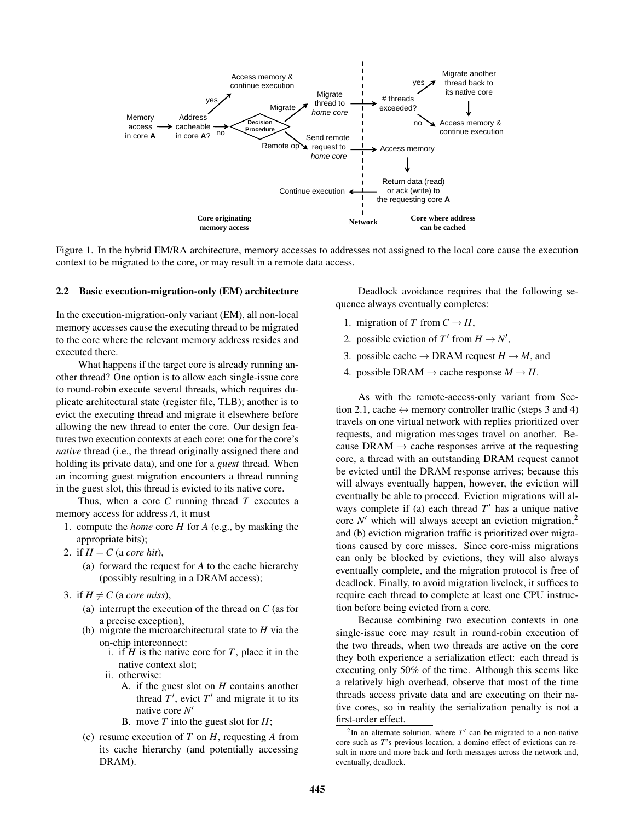

Figure 1. In the hybrid EM/RA architecture, memory accesses to addresses not assigned to the local core cause the execution context to be migrated to the core, or may result in a remote data access.

#### 2.2 Basic execution-migration-only (EM) architecture

In the execution-migration-only variant (EM), all non-local memory accesses cause the executing thread to be migrated to the core where the relevant memory address resides and executed there.

What happens if the target core is already running another thread? One option is to allow each single-issue core to round-robin execute several threads, which requires duplicate architectural state (register file, TLB); another is to evict the executing thread and migrate it elsewhere before allowing the new thread to enter the core. Our design features two execution contexts at each core: one for the core's *native* thread (i.e., the thread originally assigned there and holding its private data), and one for a *guest* thread. When an incoming guest migration encounters a thread running in the guest slot, this thread is evicted to its native core.

Thus, when a core *C* running thread *T* executes a memory access for address *A*, it must

- 1. compute the *home* core *H* for *A* (e.g., by masking the appropriate bits);
- 2. if  $H = C$  (a *core hit*),
	- (a) forward the request for *A* to the cache hierarchy (possibly resulting in a DRAM access);
- 3. if  $H \neq C$  (a *core miss*),
	- (a) interrupt the execution of the thread on *C* (as for a precise exception),
	- (b) migrate the microarchitectural state to *H* via the on-chip interconnect:
		- i. if  $H$  is the native core for  $T$ , place it in the native context slot;
		- ii. otherwise:
			- A. if the guest slot on *H* contains another thread  $T'$ , evict  $T'$  and migrate it to its native core  $N'$
			- B. move *T* into the guest slot for *H*;
	- (c) resume execution of *T* on *H*, requesting *A* from its cache hierarchy (and potentially accessing DRAM).

Deadlock avoidance requires that the following sequence always eventually completes:

- 1. migration of *T* from  $C \rightarrow H$ ,
- 2. possible eviction of  $T'$  from  $H \to N'$ ,
- 3. possible cache  $\rightarrow$  DRAM request  $H \rightarrow M$ , and
- 4. possible DRAM  $\rightarrow$  cache response  $M \rightarrow H$ .

As with the remote-access-only variant from Section 2.1, cache  $\leftrightarrow$  memory controller traffic (steps 3 and 4) travels on one virtual network with replies prioritized over requests, and migration messages travel on another. Because DRAM  $\rightarrow$  cache responses arrive at the requesting core, a thread with an outstanding DRAM request cannot be evicted until the DRAM response arrives; because this will always eventually happen, however, the eviction will eventually be able to proceed. Eviction migrations will always complete if (a) each thread  $T'$  has a unique native core  $N'$  which will always accept an eviction migration,<sup>2</sup> and (b) eviction migration traffic is prioritized over migrations caused by core misses. Since core-miss migrations can only be blocked by evictions, they will also always eventually complete, and the migration protocol is free of deadlock. Finally, to avoid migration livelock, it suffices to require each thread to complete at least one CPU instruction before being evicted from a core.

Because combining two execution contexts in one single-issue core may result in round-robin execution of the two threads, when two threads are active on the core they both experience a serialization effect: each thread is executing only 50% of the time. Although this seems like a relatively high overhead, observe that most of the time threads access private data and are executing on their native cores, so in reality the serialization penalty is not a first-order effect.

 $2$ In an alternate solution, where  $T'$  can be migrated to a non-native core such as *T*'s previous location, a domino effect of evictions can result in more and more back-and-forth messages across the network and, eventually, deadlock.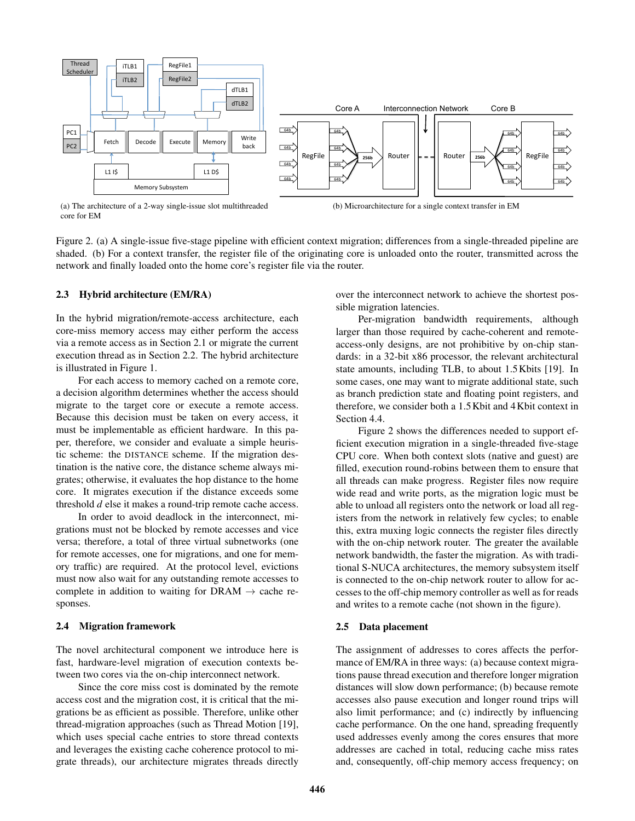

core for EM

Figure 2. (a) A single-issue five-stage pipeline with efficient context migration; differences from a single-threaded pipeline are shaded. (b) For a context transfer, the register file of the originating core is unloaded onto the router, transmitted across the network and finally loaded onto the home core's register file via the router.

#### 2.3 Hybrid architecture (EM/RA)

In the hybrid migration/remote-access architecture, each core-miss memory access may either perform the access via a remote access as in Section 2.1 or migrate the current execution thread as in Section 2.2. The hybrid architecture is illustrated in Figure 1.

For each access to memory cached on a remote core, a decision algorithm determines whether the access should migrate to the target core or execute a remote access. Because this decision must be taken on every access, it must be implementable as efficient hardware. In this paper, therefore, we consider and evaluate a simple heuristic scheme: the DISTANCE scheme. If the migration destination is the native core, the distance scheme always migrates; otherwise, it evaluates the hop distance to the home core. It migrates execution if the distance exceeds some threshold *d* else it makes a round-trip remote cache access.

In order to avoid deadlock in the interconnect, migrations must not be blocked by remote accesses and vice versa; therefore, a total of three virtual subnetworks (one for remote accesses, one for migrations, and one for memory traffic) are required. At the protocol level, evictions must now also wait for any outstanding remote accesses to complete in addition to waiting for DRAM  $\rightarrow$  cache responses.

#### 2.4 Migration framework

The novel architectural component we introduce here is fast, hardware-level migration of execution contexts between two cores via the on-chip interconnect network.

Since the core miss cost is dominated by the remote access cost and the migration cost, it is critical that the migrations be as efficient as possible. Therefore, unlike other thread-migration approaches (such as Thread Motion [19], which uses special cache entries to store thread contexts and leverages the existing cache coherence protocol to migrate threads), our architecture migrates threads directly

over the interconnect network to achieve the shortest possible migration latencies.

Per-migration bandwidth requirements, although larger than those required by cache-coherent and remoteaccess-only designs, are not prohibitive by on-chip standards: in a 32-bit x86 processor, the relevant architectural state amounts, including TLB, to about 1.5Kbits [19]. In some cases, one may want to migrate additional state, such as branch prediction state and floating point registers, and therefore, we consider both a 1.5Kbit and 4Kbit context in Section 4.4.

Figure 2 shows the differences needed to support efficient execution migration in a single-threaded five-stage CPU core. When both context slots (native and guest) are filled, execution round-robins between them to ensure that all threads can make progress. Register files now require wide read and write ports, as the migration logic must be able to unload all registers onto the network or load all registers from the network in relatively few cycles; to enable this, extra muxing logic connects the register files directly with the on-chip network router. The greater the available network bandwidth, the faster the migration. As with traditional S-NUCA architectures, the memory subsystem itself is connected to the on-chip network router to allow for accesses to the off-chip memory controller as well as for reads and writes to a remote cache (not shown in the figure).

#### 2.5 Data placement

The assignment of addresses to cores affects the performance of EM/RA in three ways: (a) because context migrations pause thread execution and therefore longer migration distances will slow down performance; (b) because remote accesses also pause execution and longer round trips will also limit performance; and (c) indirectly by influencing cache performance. On the one hand, spreading frequently used addresses evenly among the cores ensures that more addresses are cached in total, reducing cache miss rates and, consequently, off-chip memory access frequency; on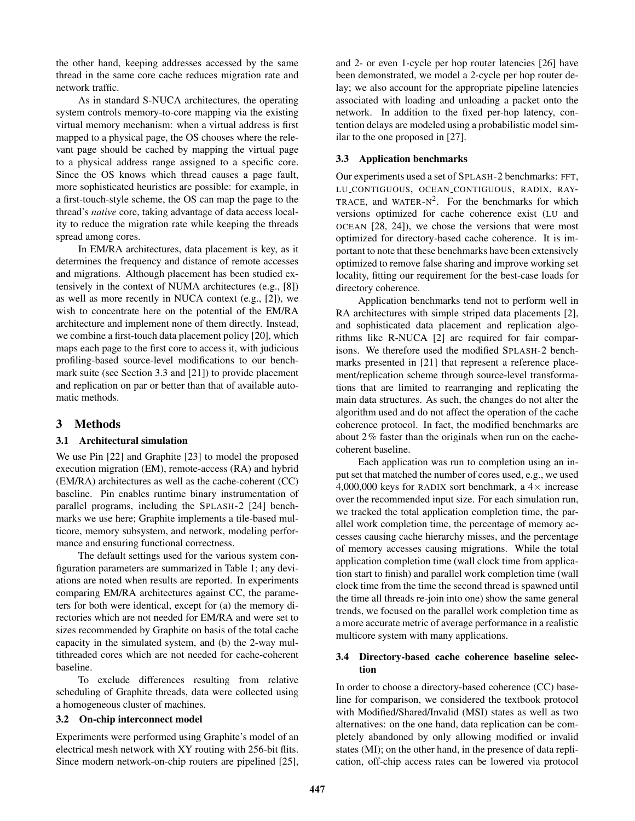the other hand, keeping addresses accessed by the same thread in the same core cache reduces migration rate and network traffic.

As in standard S-NUCA architectures, the operating system controls memory-to-core mapping via the existing virtual memory mechanism: when a virtual address is first mapped to a physical page, the OS chooses where the relevant page should be cached by mapping the virtual page to a physical address range assigned to a specific core. Since the OS knows which thread causes a page fault, more sophisticated heuristics are possible: for example, in a first-touch-style scheme, the OS can map the page to the thread's *native* core, taking advantage of data access locality to reduce the migration rate while keeping the threads spread among cores.

In EM/RA architectures, data placement is key, as it determines the frequency and distance of remote accesses and migrations. Although placement has been studied extensively in the context of NUMA architectures (e.g., [8]) as well as more recently in NUCA context (e.g., [2]), we wish to concentrate here on the potential of the EM/RA architecture and implement none of them directly. Instead, we combine a first-touch data placement policy [20], which maps each page to the first core to access it, with judicious profiling-based source-level modifications to our benchmark suite (see Section 3.3 and [21]) to provide placement and replication on par or better than that of available automatic methods.

# 3 Methods

## 3.1 Architectural simulation

We use Pin [22] and Graphite [23] to model the proposed execution migration (EM), remote-access (RA) and hybrid (EM/RA) architectures as well as the cache-coherent (CC) baseline. Pin enables runtime binary instrumentation of parallel programs, including the SPLASH-2 [24] benchmarks we use here; Graphite implements a tile-based multicore, memory subsystem, and network, modeling performance and ensuring functional correctness.

The default settings used for the various system configuration parameters are summarized in Table 1; any deviations are noted when results are reported. In experiments comparing EM/RA architectures against CC, the parameters for both were identical, except for (a) the memory directories which are not needed for EM/RA and were set to sizes recommended by Graphite on basis of the total cache capacity in the simulated system, and (b) the 2-way multithreaded cores which are not needed for cache-coherent baseline.

To exclude differences resulting from relative scheduling of Graphite threads, data were collected using a homogeneous cluster of machines.

## 3.2 On-chip interconnect model

Experiments were performed using Graphite's model of an electrical mesh network with XY routing with 256-bit flits. Since modern network-on-chip routers are pipelined [25], and 2- or even 1-cycle per hop router latencies [26] have been demonstrated, we model a 2-cycle per hop router delay; we also account for the appropriate pipeline latencies associated with loading and unloading a packet onto the network. In addition to the fixed per-hop latency, contention delays are modeled using a probabilistic model similar to the one proposed in [27].

## 3.3 Application benchmarks

Our experiments used a set of SPLASH-2 benchmarks: FFT, LU CONTIGUOUS, OCEAN CONTIGUOUS, RADIX, RAY-TRACE, and WATER- $N^2$ . For the benchmarks for which versions optimized for cache coherence exist (LU and OCEAN [28, 24]), we chose the versions that were most optimized for directory-based cache coherence. It is important to note that these benchmarks have been extensively optimized to remove false sharing and improve working set locality, fitting our requirement for the best-case loads for directory coherence.

Application benchmarks tend not to perform well in RA architectures with simple striped data placements [2], and sophisticated data placement and replication algorithms like R-NUCA [2] are required for fair comparisons. We therefore used the modified SPLASH-2 benchmarks presented in [21] that represent a reference placement/replication scheme through source-level transformations that are limited to rearranging and replicating the main data structures. As such, the changes do not alter the algorithm used and do not affect the operation of the cache coherence protocol. In fact, the modified benchmarks are about 2% faster than the originals when run on the cachecoherent baseline.

Each application was run to completion using an input set that matched the number of cores used, e.g., we used 4,000,000 keys for RADIX sort benchmark, a  $4\times$  increase over the recommended input size. For each simulation run, we tracked the total application completion time, the parallel work completion time, the percentage of memory accesses causing cache hierarchy misses, and the percentage of memory accesses causing migrations. While the total application completion time (wall clock time from application start to finish) and parallel work completion time (wall clock time from the time the second thread is spawned until the time all threads re-join into one) show the same general trends, we focused on the parallel work completion time as a more accurate metric of average performance in a realistic multicore system with many applications.

## 3.4 Directory-based cache coherence baseline selection

In order to choose a directory-based coherence (CC) baseline for comparison, we considered the textbook protocol with Modified/Shared/Invalid (MSI) states as well as two alternatives: on the one hand, data replication can be completely abandoned by only allowing modified or invalid states (MI); on the other hand, in the presence of data replication, off-chip access rates can be lowered via protocol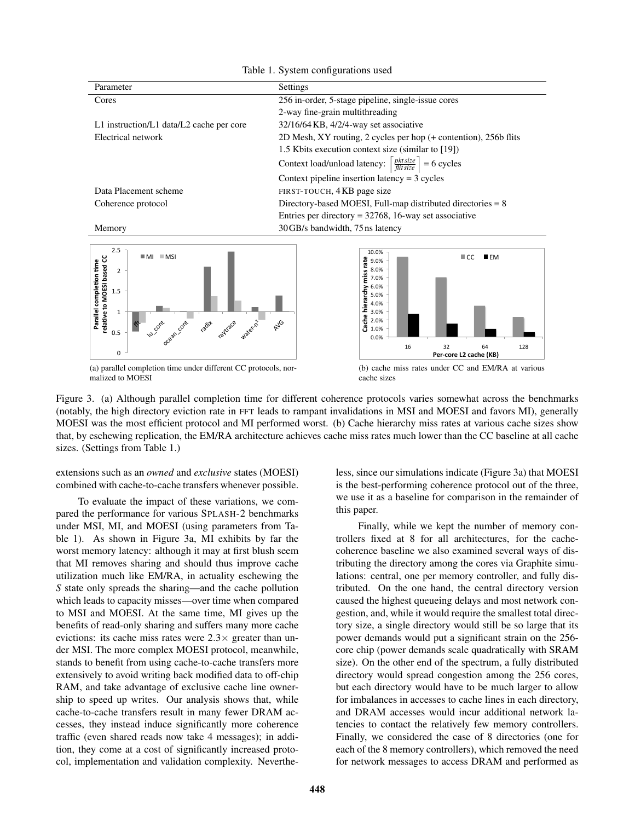| Parameter                                | Settings                                                                        |  |  |
|------------------------------------------|---------------------------------------------------------------------------------|--|--|
| Cores                                    | 256 in-order, 5-stage pipeline, single-issue cores                              |  |  |
|                                          | 2-way fine-grain multithreading                                                 |  |  |
| L1 instruction/L1 data/L2 cache per core | 32/16/64 KB, 4/2/4-way set associative                                          |  |  |
| Electrical network                       | 2D Mesh, XY routing, 2 cycles per hop (+ contention), 256b flits                |  |  |
|                                          | 1.5 Kbits execution context size (similar to [19])                              |  |  |
|                                          | Context load/unload latency: $\left[\frac{pktsize}{flitsize}\right] = 6$ cycles |  |  |
|                                          | Context pipeline insertion latency $=$ 3 cycles                                 |  |  |
| Data Placement scheme                    | FIRST-TOUCH, 4KB page size                                                      |  |  |
| Coherence protocol                       | Directory-based MOESI, Full-map distributed directories $= 8$                   |  |  |
|                                          | Entries per directory = $32768$ , 16-way set associative                        |  |  |
| Memory                                   | 30 GB/s bandwidth, 75 ns latency                                                |  |  |

Table 1. System configurations used



(a) parallel completion time under different CC protocols, nor-

malized to MOESI



(b) cache miss rates under CC and EM/RA at various cache sizes

Figure 3. (a) Although parallel completion time for different coherence protocols varies somewhat across the benchmarks (notably, the high directory eviction rate in FFT leads to rampant invalidations in MSI and MOESI and favors MI), generally MOESI was the most efficient protocol and MI performed worst. (b) Cache hierarchy miss rates at various cache sizes show that, by eschewing replication, the EM/RA architecture achieves cache miss rates much lower than the CC baseline at all cache sizes. (Settings from Table 1.)

extensions such as an *owned* and *exclusive* states (MOESI) combined with cache-to-cache transfers whenever possible.

To evaluate the impact of these variations, we compared the performance for various SPLASH-2 benchmarks under MSI, MI, and MOESI (using parameters from Table 1). As shown in Figure 3a, MI exhibits by far the worst memory latency: although it may at first blush seem that MI removes sharing and should thus improve cache utilization much like EM/RA, in actuality eschewing the *S* state only spreads the sharing—and the cache pollution which leads to capacity misses—over time when compared to MSI and MOESI. At the same time, MI gives up the benefits of read-only sharing and suffers many more cache evictions: its cache miss rates were  $2.3 \times$  greater than under MSI. The more complex MOESI protocol, meanwhile, stands to benefit from using cache-to-cache transfers more extensively to avoid writing back modified data to off-chip RAM, and take advantage of exclusive cache line ownership to speed up writes. Our analysis shows that, while cache-to-cache transfers result in many fewer DRAM accesses, they instead induce significantly more coherence traffic (even shared reads now take 4 messages); in addition, they come at a cost of significantly increased protocol, implementation and validation complexity. Nevertheless, since our simulations indicate (Figure 3a) that MOESI is the best-performing coherence protocol out of the three, we use it as a baseline for comparison in the remainder of this paper.

Finally, while we kept the number of memory controllers fixed at 8 for all architectures, for the cachecoherence baseline we also examined several ways of distributing the directory among the cores via Graphite simulations: central, one per memory controller, and fully distributed. On the one hand, the central directory version caused the highest queueing delays and most network congestion, and, while it would require the smallest total directory size, a single directory would still be so large that its power demands would put a significant strain on the 256 core chip (power demands scale quadratically with SRAM size). On the other end of the spectrum, a fully distributed directory would spread congestion among the 256 cores, but each directory would have to be much larger to allow for imbalances in accesses to cache lines in each directory, and DRAM accesses would incur additional network latencies to contact the relatively few memory controllers. Finally, we considered the case of 8 directories (one for each of the 8 memory controllers), which removed the need for network messages to access DRAM and performed as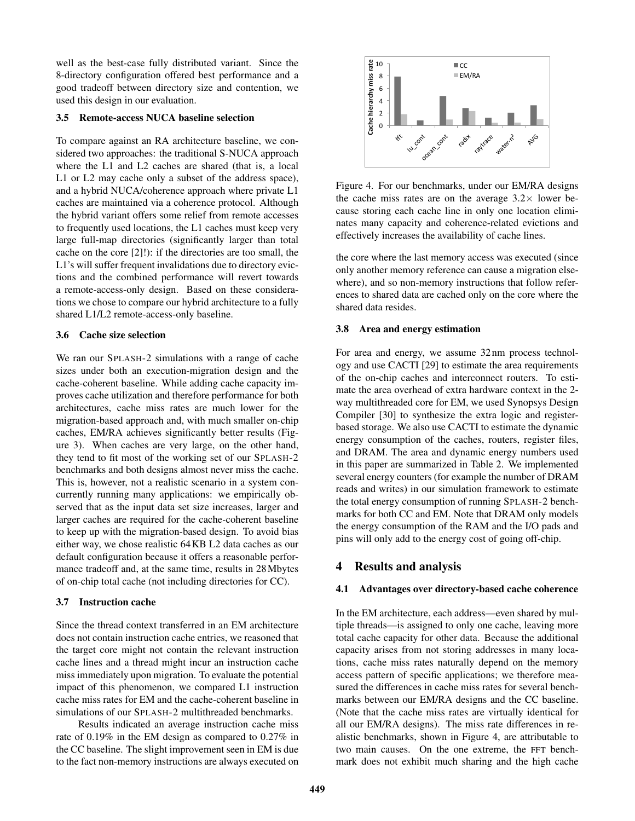well as the best-case fully distributed variant. Since the 8-directory configuration offered best performance and a good tradeoff between directory size and contention, we used this design in our evaluation.

## 3.5 Remote-access NUCA baseline selection

To compare against an RA architecture baseline, we considered two approaches: the traditional S-NUCA approach where the L1 and L2 caches are shared (that is, a local L1 or L2 may cache only a subset of the address space), and a hybrid NUCA/coherence approach where private L1 caches are maintained via a coherence protocol. Although the hybrid variant offers some relief from remote accesses to frequently used locations, the L1 caches must keep very large full-map directories (significantly larger than total cache on the core [2]!): if the directories are too small, the L1's will suffer frequent invalidations due to directory evictions and the combined performance will revert towards a remote-access-only design. Based on these considerations we chose to compare our hybrid architecture to a fully shared L1/L2 remote-access-only baseline.

## 3.6 Cache size selection

We ran our SPLASH-2 simulations with a range of cache sizes under both an execution-migration design and the cache-coherent baseline. While adding cache capacity improves cache utilization and therefore performance for both architectures, cache miss rates are much lower for the migration-based approach and, with much smaller on-chip caches, EM/RA achieves significantly better results (Figure 3). When caches are very large, on the other hand, they tend to fit most of the working set of our SPLASH-2 benchmarks and both designs almost never miss the cache. This is, however, not a realistic scenario in a system concurrently running many applications: we empirically observed that as the input data set size increases, larger and larger caches are required for the cache-coherent baseline to keep up with the migration-based design. To avoid bias either way, we chose realistic 64KB L2 data caches as our default configuration because it offers a reasonable performance tradeoff and, at the same time, results in 28Mbytes of on-chip total cache (not including directories for CC).

## 3.7 Instruction cache

Since the thread context transferred in an EM architecture does not contain instruction cache entries, we reasoned that the target core might not contain the relevant instruction cache lines and a thread might incur an instruction cache miss immediately upon migration. To evaluate the potential impact of this phenomenon, we compared L1 instruction cache miss rates for EM and the cache-coherent baseline in simulations of our SPLASH-2 multithreaded benchmarks.

Results indicated an average instruction cache miss rate of 0.19% in the EM design as compared to 0.27% in the CC baseline. The slight improvement seen in EM is due to the fact non-memory instructions are always executed on



Figure 4. For our benchmarks, under our EM/RA designs the cache miss rates are on the average  $3.2 \times$  lower because storing each cache line in only one location eliminates many capacity and coherence-related evictions and effectively increases the availability of cache lines.

the core where the last memory access was executed (since only another memory reference can cause a migration elsewhere), and so non-memory instructions that follow references to shared data are cached only on the core where the shared data resides.

## 3.8 Area and energy estimation

For area and energy, we assume 32 nm process technology and use CACTI [29] to estimate the area requirements of the on-chip caches and interconnect routers. To estimate the area overhead of extra hardware context in the 2 way multithreaded core for EM, we used Synopsys Design Compiler [30] to synthesize the extra logic and registerbased storage. We also use CACTI to estimate the dynamic energy consumption of the caches, routers, register files, and DRAM. The area and dynamic energy numbers used in this paper are summarized in Table 2. We implemented several energy counters (for example the number of DRAM reads and writes) in our simulation framework to estimate the total energy consumption of running SPLASH-2 benchmarks for both CC and EM. Note that DRAM only models the energy consumption of the RAM and the I/O pads and pins will only add to the energy cost of going off-chip.

## 4 Results and analysis

### 4.1 Advantages over directory-based cache coherence

In the EM architecture, each address—even shared by multiple threads—is assigned to only one cache, leaving more total cache capacity for other data. Because the additional capacity arises from not storing addresses in many locations, cache miss rates naturally depend on the memory access pattern of specific applications; we therefore measured the differences in cache miss rates for several benchmarks between our EM/RA designs and the CC baseline. (Note that the cache miss rates are virtually identical for all our EM/RA designs). The miss rate differences in realistic benchmarks, shown in Figure 4, are attributable to two main causes. On the one extreme, the FFT benchmark does not exhibit much sharing and the high cache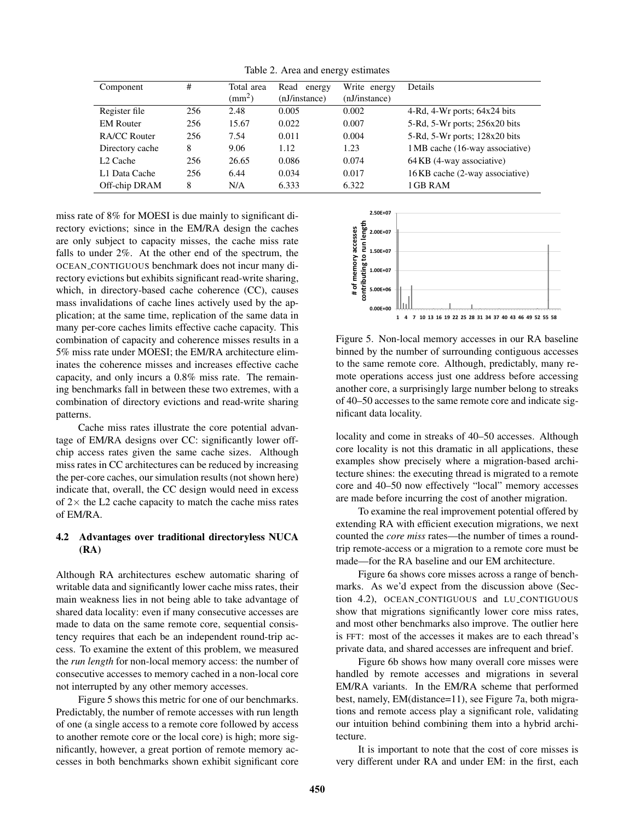| Component            | #   | Total area<br>$\rm (mm^2)$ | Read<br>energy<br>(nJ/instance) | Write energy<br>(nJ/instance) | <b>Details</b>                  |
|----------------------|-----|----------------------------|---------------------------------|-------------------------------|---------------------------------|
| Register file        | 256 | 2.48                       | 0.005                           | 0.002                         | 4-Rd, 4-Wr ports; $64x24$ bits  |
| <b>EM Router</b>     | 256 | 15.67                      | 0.022                           | 0.007                         | 5-Rd, 5-Wr ports; 256x20 bits   |
| RA/CC Router         | 256 | 7.54                       | 0.011                           | 0.004                         | 5-Rd, 5-Wr ports; 128x20 bits   |
| Directory cache      | 8   | 9.06                       | 1.12                            | 1.23                          | 1 MB cache (16-way associative) |
| L <sub>2</sub> Cache | 256 | 26.65                      | 0.086                           | 0.074                         | 64 KB (4-way associative)       |
| L1 Data Cache        | 256 | 6.44                       | 0.034                           | 0.017                         | 16KB cache (2-way associative)  |
| Off-chip DRAM        | 8   | N/A                        | 6.333                           | 6.322                         | 1 GB RAM                        |

Table 2. Area and energy estimates

miss rate of 8% for MOESI is due mainly to significant directory evictions; since in the EM/RA design the caches are only subject to capacity misses, the cache miss rate falls to under 2%. At the other end of the spectrum, the OCEAN CONTIGUOUS benchmark does not incur many directory evictions but exhibits significant read-write sharing, which, in directory-based cache coherence (CC), causes mass invalidations of cache lines actively used by the application; at the same time, replication of the same data in many per-core caches limits effective cache capacity. This combination of capacity and coherence misses results in a 5% miss rate under MOESI; the EM/RA architecture eliminates the coherence misses and increases effective cache capacity, and only incurs a 0.8% miss rate. The remaining benchmarks fall in between these two extremes, with a combination of directory evictions and read-write sharing patterns.

Cache miss rates illustrate the core potential advantage of EM/RA designs over CC: significantly lower offchip access rates given the same cache sizes. Although miss rates in CC architectures can be reduced by increasing the per-core caches, our simulation results (not shown here) indicate that, overall, the CC design would need in excess of  $2\times$  the L2 cache capacity to match the cache miss rates of EM/RA.

## 4.2 Advantages over traditional directoryless NUCA (RA)

Although RA architectures eschew automatic sharing of writable data and significantly lower cache miss rates, their main weakness lies in not being able to take advantage of shared data locality: even if many consecutive accesses are made to data on the same remote core, sequential consistency requires that each be an independent round-trip access. To examine the extent of this problem, we measured the *run length* for non-local memory access: the number of consecutive accesses to memory cached in a non-local core not interrupted by any other memory accesses.

Figure 5 shows this metric for one of our benchmarks. Predictably, the number of remote accesses with run length of one (a single access to a remote core followed by access to another remote core or the local core) is high; more significantly, however, a great portion of remote memory accesses in both benchmarks shown exhibit significant core



Figure 5. Non-local memory accesses in our RA baseline binned by the number of surrounding contiguous accesses to the same remote core. Although, predictably, many remote operations access just one address before accessing another core, a surprisingly large number belong to streaks of 40–50 accesses to the same remote core and indicate significant data locality.

locality and come in streaks of 40–50 accesses. Although core locality is not this dramatic in all applications, these examples show precisely where a migration-based architecture shines: the executing thread is migrated to a remote core and 40–50 now effectively "local" memory accesses are made before incurring the cost of another migration.

To examine the real improvement potential offered by extending RA with efficient execution migrations, we next counted the *core miss* rates—the number of times a roundtrip remote-access or a migration to a remote core must be made—for the RA baseline and our EM architecture.

Figure 6a shows core misses across a range of benchmarks. As we'd expect from the discussion above (Section 4.2), OCEAN CONTIGUOUS and LU CONTIGUOUS show that migrations significantly lower core miss rates, and most other benchmarks also improve. The outlier here is FFT: most of the accesses it makes are to each thread's private data, and shared accesses are infrequent and brief.

Figure 6b shows how many overall core misses were handled by remote accesses and migrations in several EM/RA variants. In the EM/RA scheme that performed best, namely, EM(distance=11), see Figure 7a, both migrations and remote access play a significant role, validating our intuition behind combining them into a hybrid architecture.

It is important to note that the cost of core misses is very different under RA and under EM: in the first, each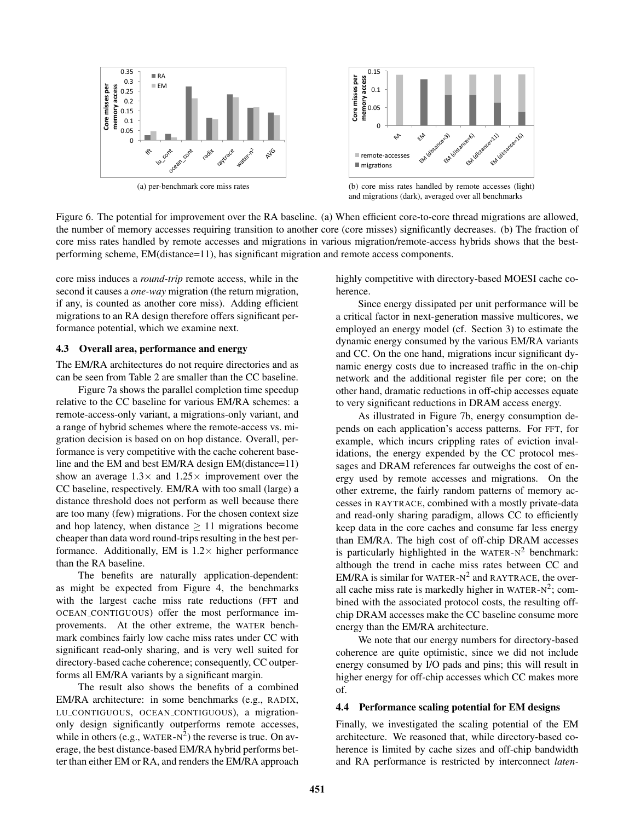

Figure 6. The potential for improvement over the RA baseline. (a) When efficient core-to-core thread migrations are allowed, the number of memory accesses requiring transition to another core (core misses) significantly decreases. (b) The fraction of core miss rates handled by remote accesses and migrations in various migration/remote-access hybrids shows that the bestperforming scheme, EM(distance=11), has significant migration and remote access components.

core miss induces a *round-trip* remote access, while in the second it causes a *one-way* migration (the return migration, if any, is counted as another core miss). Adding efficient migrations to an RA design therefore offers significant performance potential, which we examine next.

## 4.3 Overall area, performance and energy

The EM/RA architectures do not require directories and as can be seen from Table 2 are smaller than the CC baseline.

Figure 7a shows the parallel completion time speedup relative to the CC baseline for various EM/RA schemes: a remote-access-only variant, a migrations-only variant, and a range of hybrid schemes where the remote-access vs. migration decision is based on on hop distance. Overall, performance is very competitive with the cache coherent baseline and the EM and best EM/RA design EM(distance=11) show an average  $1.3 \times$  and  $1.25 \times$  improvement over the CC baseline, respectively. EM/RA with too small (large) a distance threshold does not perform as well because there are too many (few) migrations. For the chosen context size and hop latency, when distance  $> 11$  migrations become cheaper than data word round-trips resulting in the best performance. Additionally, EM is  $1.2 \times$  higher performance than the RA baseline.

The benefits are naturally application-dependent: as might be expected from Figure 4, the benchmarks with the largest cache miss rate reductions (FFT and OCEAN CONTIGUOUS) offer the most performance improvements. At the other extreme, the WATER benchmark combines fairly low cache miss rates under CC with significant read-only sharing, and is very well suited for directory-based cache coherence; consequently, CC outperforms all EM/RA variants by a significant margin.

The result also shows the benefits of a combined EM/RA architecture: in some benchmarks (e.g., RADIX, LU CONTIGUOUS, OCEAN CONTIGUOUS), a migrationonly design significantly outperforms remote accesses, while in others (e.g., WATER- $N^2$ ) the reverse is true. On average, the best distance-based EM/RA hybrid performs better than either EM or RA, and renders the EM/RA approach

highly competitive with directory-based MOESI cache coherence.

Since energy dissipated per unit performance will be a critical factor in next-generation massive multicores, we employed an energy model (cf. Section 3) to estimate the dynamic energy consumed by the various EM/RA variants and CC. On the one hand, migrations incur significant dynamic energy costs due to increased traffic in the on-chip network and the additional register file per core; on the other hand, dramatic reductions in off-chip accesses equate to very significant reductions in DRAM access energy.

As illustrated in Figure 7b, energy consumption depends on each application's access patterns. For FFT, for example, which incurs crippling rates of eviction invalidations, the energy expended by the CC protocol messages and DRAM references far outweighs the cost of energy used by remote accesses and migrations. On the other extreme, the fairly random patterns of memory accesses in RAYTRACE, combined with a mostly private-data and read-only sharing paradigm, allows CC to efficiently keep data in the core caches and consume far less energy than EM/RA. The high cost of off-chip DRAM accesses is particularly highlighted in the WATER- $N^2$  benchmark: although the trend in cache miss rates between CC and EM/RA is similar for WATER- $N^2$  and RAYTRACE, the overall cache miss rate is markedly higher in WATER- $N^2$ ; combined with the associated protocol costs, the resulting offchip DRAM accesses make the CC baseline consume more energy than the EM/RA architecture.

We note that our energy numbers for directory-based coherence are quite optimistic, since we did not include energy consumed by I/O pads and pins; this will result in higher energy for off-chip accesses which CC makes more of.

## 4.4 Performance scaling potential for EM designs

Finally, we investigated the scaling potential of the EM architecture. We reasoned that, while directory-based coherence is limited by cache sizes and off-chip bandwidth and RA performance is restricted by interconnect *laten-*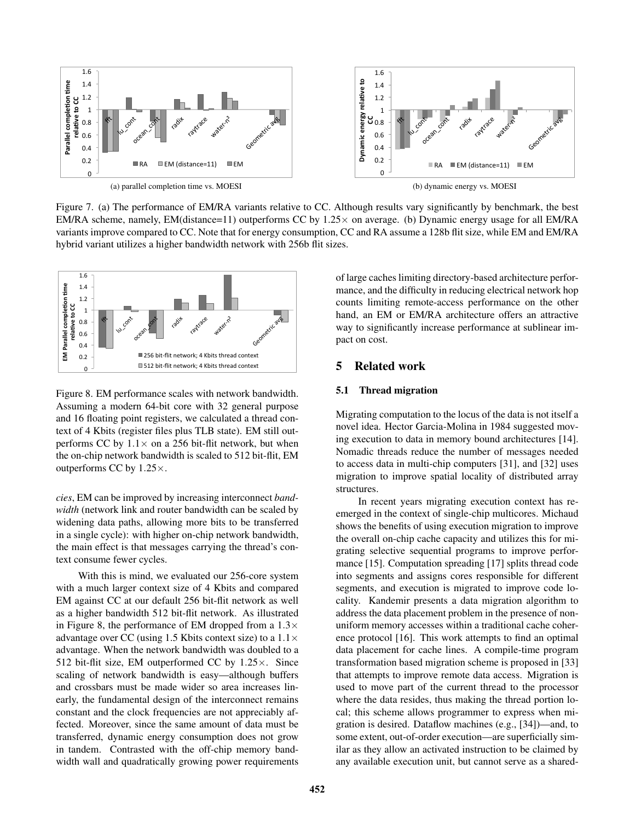

Figure 7. (a) The performance of EM/RA variants relative to CC. Although results vary significantly by benchmark, the best EM/RA scheme, namely, EM(distance=11) outperforms CC by  $1.25 \times$  on average. (b) Dynamic energy usage for all EM/RA variants improve compared to CC. Note that for energy consumption, CC and RA assume a 128b flit size, while EM and EM/RA hybrid variant utilizes a higher bandwidth network with 256b flit sizes.



Figure 8. EM performance scales with network bandwidth. Assuming a modern 64-bit core with 32 general purpose and 16 floating point registers, we calculated a thread context of 4 Kbits (register files plus TLB state). EM still outperforms CC by  $1.1 \times$  on a 256 bit-flit network, but when the on-chip network bandwidth is scaled to 512 bit-flit, EM outperforms CC by 1.25×.

*cies*, EM can be improved by increasing interconnect *bandwidth* (network link and router bandwidth can be scaled by widening data paths, allowing more bits to be transferred in a single cycle): with higher on-chip network bandwidth, the main effect is that messages carrying the thread's context consume fewer cycles.

With this is mind, we evaluated our 256-core system with a much larger context size of 4 Kbits and compared EM against CC at our default 256 bit-flit network as well as a higher bandwidth 512 bit-flit network. As illustrated in Figure 8, the performance of EM dropped from a  $1.3\times$ advantage over CC (using 1.5 Kbits context size) to a  $1.1\times$ advantage. When the network bandwidth was doubled to a 512 bit-flit size, EM outperformed CC by 1.25×. Since scaling of network bandwidth is easy—although buffers and crossbars must be made wider so area increases linearly, the fundamental design of the interconnect remains constant and the clock frequencies are not appreciably affected. Moreover, since the same amount of data must be transferred, dynamic energy consumption does not grow in tandem. Contrasted with the off-chip memory bandwidth wall and quadratically growing power requirements

of large caches limiting directory-based architecture performance, and the difficulty in reducing electrical network hop counts limiting remote-access performance on the other hand, an EM or EM/RA architecture offers an attractive way to significantly increase performance at sublinear impact on cost.

# 5 Related work

#### 5.1 Thread migration

Migrating computation to the locus of the data is not itself a novel idea. Hector Garcia-Molina in 1984 suggested moving execution to data in memory bound architectures [14]. Nomadic threads reduce the number of messages needed to access data in multi-chip computers [31], and [32] uses migration to improve spatial locality of distributed array structures.

In recent years migrating execution context has reemerged in the context of single-chip multicores. Michaud shows the benefits of using execution migration to improve the overall on-chip cache capacity and utilizes this for migrating selective sequential programs to improve performance [15]. Computation spreading [17] splits thread code into segments and assigns cores responsible for different segments, and execution is migrated to improve code locality. Kandemir presents a data migration algorithm to address the data placement problem in the presence of nonuniform memory accesses within a traditional cache coherence protocol [16]. This work attempts to find an optimal data placement for cache lines. A compile-time program transformation based migration scheme is proposed in [33] that attempts to improve remote data access. Migration is used to move part of the current thread to the processor where the data resides, thus making the thread portion local; this scheme allows programmer to express when migration is desired. Dataflow machines (e.g., [34])—and, to some extent, out-of-order execution—are superficially similar as they allow an activated instruction to be claimed by any available execution unit, but cannot serve as a shared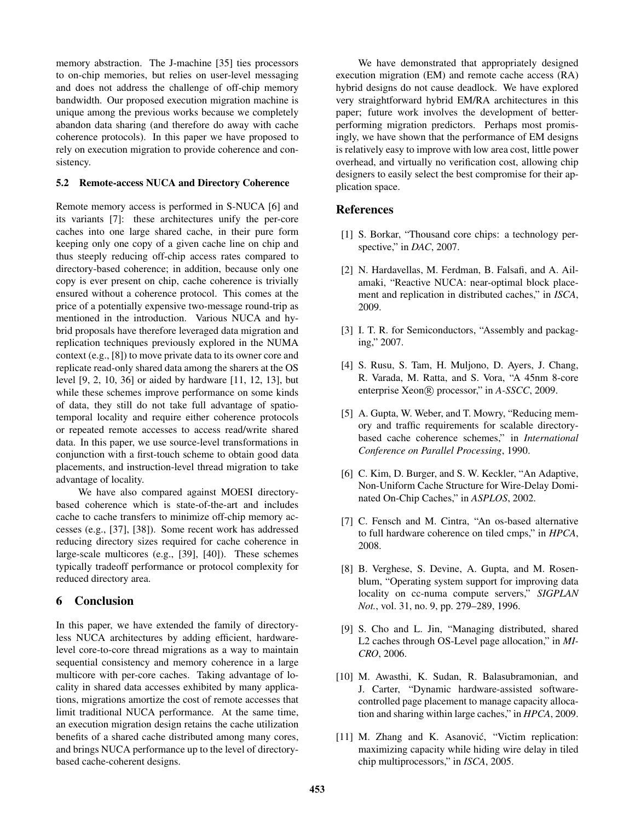memory abstraction. The J-machine [35] ties processors to on-chip memories, but relies on user-level messaging and does not address the challenge of off-chip memory bandwidth. Our proposed execution migration machine is unique among the previous works because we completely abandon data sharing (and therefore do away with cache coherence protocols). In this paper we have proposed to rely on execution migration to provide coherence and consistency.

## 5.2 Remote-access NUCA and Directory Coherence

Remote memory access is performed in S-NUCA [6] and its variants [7]: these architectures unify the per-core caches into one large shared cache, in their pure form keeping only one copy of a given cache line on chip and thus steeply reducing off-chip access rates compared to directory-based coherence; in addition, because only one copy is ever present on chip, cache coherence is trivially ensured without a coherence protocol. This comes at the price of a potentially expensive two-message round-trip as mentioned in the introduction. Various NUCA and hybrid proposals have therefore leveraged data migration and replication techniques previously explored in the NUMA context (e.g., [8]) to move private data to its owner core and replicate read-only shared data among the sharers at the OS level [9, 2, 10, 36] or aided by hardware [11, 12, 13], but while these schemes improve performance on some kinds of data, they still do not take full advantage of spatiotemporal locality and require either coherence protocols or repeated remote accesses to access read/write shared data. In this paper, we use source-level transformations in conjunction with a first-touch scheme to obtain good data placements, and instruction-level thread migration to take advantage of locality.

We have also compared against MOESI directorybased coherence which is state-of-the-art and includes cache to cache transfers to minimize off-chip memory accesses (e.g., [37], [38]). Some recent work has addressed reducing directory sizes required for cache coherence in large-scale multicores (e.g., [39], [40]). These schemes typically tradeoff performance or protocol complexity for reduced directory area.

# 6 Conclusion

In this paper, we have extended the family of directoryless NUCA architectures by adding efficient, hardwarelevel core-to-core thread migrations as a way to maintain sequential consistency and memory coherence in a large multicore with per-core caches. Taking advantage of locality in shared data accesses exhibited by many applications, migrations amortize the cost of remote accesses that limit traditional NUCA performance. At the same time, an execution migration design retains the cache utilization benefits of a shared cache distributed among many cores, and brings NUCA performance up to the level of directorybased cache-coherent designs.

We have demonstrated that appropriately designed execution migration (EM) and remote cache access (RA) hybrid designs do not cause deadlock. We have explored very straightforward hybrid EM/RA architectures in this paper; future work involves the development of betterperforming migration predictors. Perhaps most promisingly, we have shown that the performance of EM designs is relatively easy to improve with low area cost, little power overhead, and virtually no verification cost, allowing chip designers to easily select the best compromise for their application space.

# References

- [1] S. Borkar, "Thousand core chips: a technology perspective," in *DAC*, 2007.
- [2] N. Hardavellas, M. Ferdman, B. Falsafi, and A. Ailamaki, "Reactive NUCA: near-optimal block placement and replication in distributed caches," in *ISCA*, 2009.
- [3] I. T. R. for Semiconductors, "Assembly and packaging," 2007.
- [4] S. Rusu, S. Tam, H. Muljono, D. Ayers, J. Chang, R. Varada, M. Ratta, and S. Vora, "A 45nm 8-core enterprise Xeon<sup>(R)</sup> processor," in *A-SSCC*, 2009.
- [5] A. Gupta, W. Weber, and T. Mowry, "Reducing memory and traffic requirements for scalable directorybased cache coherence schemes," in *International Conference on Parallel Processing*, 1990.
- [6] C. Kim, D. Burger, and S. W. Keckler, "An Adaptive, Non-Uniform Cache Structure for Wire-Delay Dominated On-Chip Caches," in *ASPLOS*, 2002.
- [7] C. Fensch and M. Cintra, "An os-based alternative to full hardware coherence on tiled cmps," in *HPCA*, 2008.
- [8] B. Verghese, S. Devine, A. Gupta, and M. Rosenblum, "Operating system support for improving data locality on cc-numa compute servers," *SIGPLAN Not.*, vol. 31, no. 9, pp. 279–289, 1996.
- [9] S. Cho and L. Jin, "Managing distributed, shared L2 caches through OS-Level page allocation," in *MI-CRO*, 2006.
- [10] M. Awasthi, K. Sudan, R. Balasubramonian, and J. Carter, "Dynamic hardware-assisted softwarecontrolled page placement to manage capacity allocation and sharing within large caches," in *HPCA*, 2009.
- [11] M. Zhang and K. Asanović, "Victim replication: maximizing capacity while hiding wire delay in tiled chip multiprocessors," in *ISCA*, 2005.